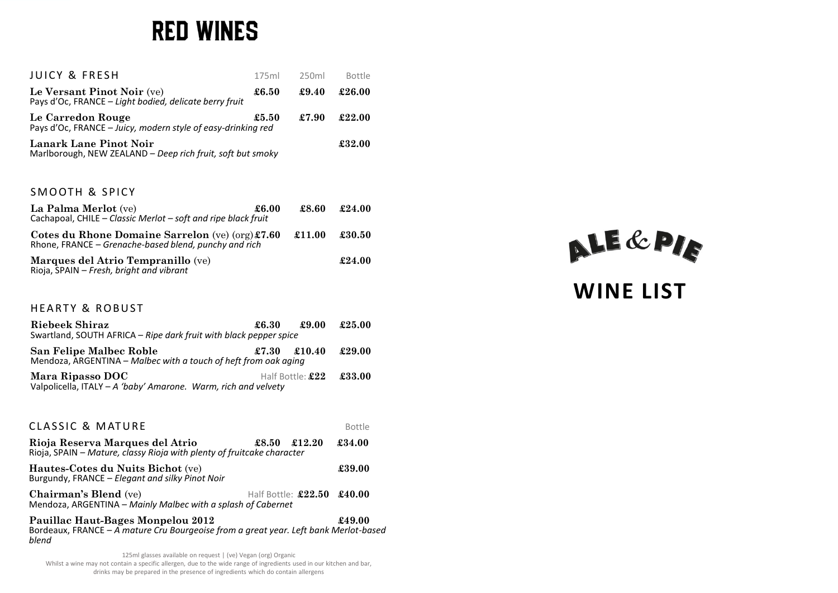## **RED WINES**

| JUICY & FRESH                                                                                       | 175ml | 250ml | <b>Bottle</b> |
|-----------------------------------------------------------------------------------------------------|-------|-------|---------------|
| Le Versant Pinot Noir (ve)<br>Pays d'Oc, FRANCE – Light bodied, delicate berry fruit                | £6.50 | £9.40 | £26.00        |
| Le Carredon Rouge<br>£7.90<br>£5.50<br>Pays d'Oc, FRANCE – Juicy, modern style of easy-drinking red |       |       | £22.00        |
| Lanark Lane Pinot Noir<br>Marlborough, NEW ZEALAND – Deep rich fruit, soft but smoky                |       |       | £32.00        |
| <b>SMOOTH &amp; SPICY</b>                                                                           |       |       |               |

| La Palma Merlot (ve)<br>Cachapoal, CHILE - Classic Merlot - soft and ripe black fruit                       | £6.00 | £8.60  | £24.00 |
|-------------------------------------------------------------------------------------------------------------|-------|--------|--------|
| Cotes du Rhone Domaine Sarrelon (ve) $(org)$ £7.60<br>Rhone, FRANCE – Grenache-based blend, punchy and rich |       | £11.00 | £30.50 |
| <b>Marques del Atrio Tempranillo</b> (ve)<br>Rioja, SPAIN - Fresh, bright and vibrant                       |       |        | £24.00 |

#### HEARTY & ROBUST

| Riebeek Shiraz<br>Swartland, SOUTH AFRICA – Ripe dark fruit with black pepper spice               | £6.30 | £9.00                          | £25.00 |
|---------------------------------------------------------------------------------------------------|-------|--------------------------------|--------|
| <b>San Felipe Malbec Roble</b><br>Mendoza, ARGENTINA – Malbec with a touch of heft from oak aging | £7.30 | £10.40                         | £29.00 |
| Mara Ripasso DOC<br>Valpolicella, ITALY - A 'baby' Amarone. Warm, rich and velvety                |       | Half Bottle: $\pmb{\pounds}22$ | £33.00 |

| <b>CLASSIC &amp; MATURE</b>                                                                                                        |       |                             | <b>Bottle</b> |
|------------------------------------------------------------------------------------------------------------------------------------|-------|-----------------------------|---------------|
| Rioja Reserva Marques del Atrio<br>Rioja, SPAIN - Mature, classy Rioja with plenty of fruitcake character                          | £8.50 | £12.20                      | £34.00        |
| Hautes-Cotes du Nuits Bichot (ve)<br>Burgundy, FRANCE - Elegant and silky Pinot Noir                                               |       |                             | £39.00        |
| <b>Chairman's Blend</b> (ve)<br>Mendoza, ARGENTINA - Mainly Malbec with a splash of Cabernet                                       |       | Half Bottle: $\pounds22.50$ | £40.00        |
| Pauillac Haut-Bages Monpelou 2012<br>Bordeaux, FRANCE - A mature Cru Bourgeoise from a great year. Left bank Merlot-based<br>blend |       |                             | £49.00        |

125ml glasses available on request | (ve) Vegan (org) Organic

Whilst a wine may not contain a specific allergen, due to the wide range of ingredients used in our kitchen and bar, drinks may be prepared in the presence of ingredients which do contain allergens



### **WINE LIST**